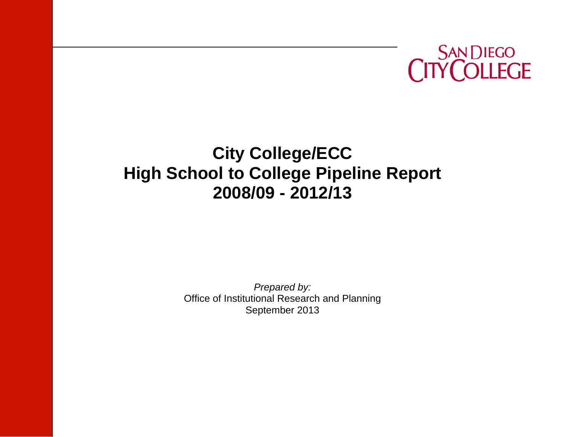

# **City College/ECC High School to College Pipeline Report 2008/09 - 2012/13**

*Prepared by:*  Office of Institutional Research and Planning September 2013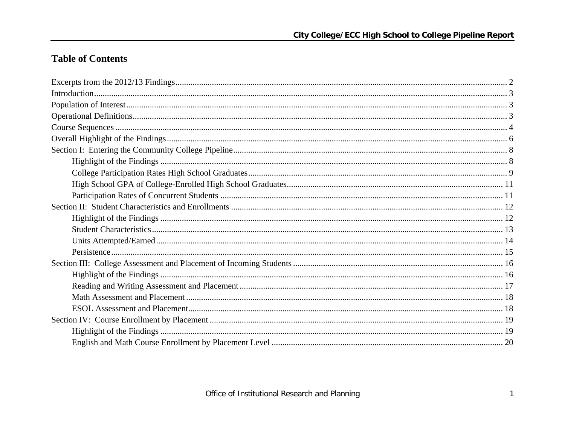## **Table of Contents**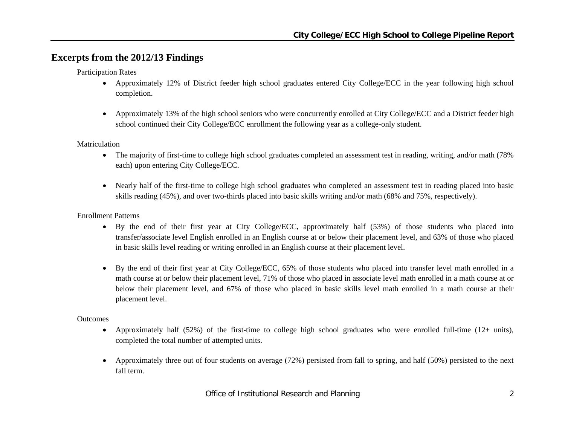## **Excerpts from the 2012/13 Findings**

Participation Rates

- Approximately 12% of District feeder high school graduates entered City College/ECC in the year following high school completion.
- $\bullet$  Approximately 13% of the high school seniors who were concurrently enrolled at City College/ECC and a District feeder high school continued their City College/ECC enrollment the following year as a college-only student.

Matriculation

- $\bullet$  The majority of first-time to college high school graduates completed an assessment test in reading, writing, and/or math (78% each) upon entering City College/ECC.
- Nearly half of the first-time to college high school graduates who completed an assessment test in reading placed into basic skills reading (45%), and over two-thirds placed into basic skills writing and/or math (68% and 75%, respectively).

Enrollment Patterns

- By the end of their first year at City College/ECC, approximately half (53%) of those students who placed into transfer/associate level English enrolled in an English course at or below their placement level, and 63% of those who placed in basic skills level reading or writing enrolled in an English course at their placement level.
- $\bullet$ By the end of their first year at City College/ECC, 65% of those students who placed into transfer level math enrolled in a math course at or below their placement level, 71% of those who placed in associate level math enrolled in a math course at or below their placement level, and 67% of those who placed in basic skills level math enrolled in a math course at their placement level.

#### **Outcomes**

- $\bullet$  Approximately half (52%) of the first-time to college high school graduates who were enrolled full-time (12+ units), completed the total number of attempted units.
- $\bullet$  Approximately three out of four students on average (72%) persisted from fall to spring, and half (50%) persisted to the next fall term.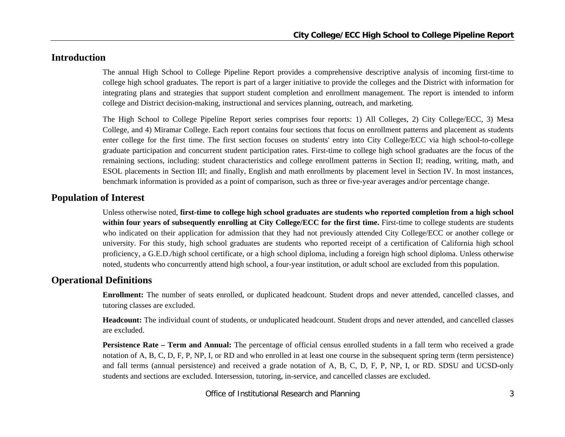## **Introduction**

The annual High School to College Pipeline Report provides a comprehensive descriptive analysis of incoming first-time to college high school graduates. The report is part of a larger initiative to provide the colleges and the District with information for integrating plans and strategies that support student completion and enrollment management. The report is intended to inform college and District decision-making, instructional and services planning, outreach, and marketing.

The High School to College Pipeline Report series comprises four reports: 1) All Colleges, 2) City College/ECC, 3) Mesa College, and 4) Miramar College. Each report contains four sections that focus on enrollment patterns and placement as students enter college for the first time. The first section focuses on students' entry into City College/ECC via high school-to-college graduate participation and concurrent student participation rates. First-time to college high school graduates are the focus of the remaining sections, including: student characteristics and college enrollment patterns in Section II; reading, writing, math, and ESOL placements in Section III; and finally, English and math enrollments by placement level in Section IV. In most instances, benchmark information is provided as a point of comparison, such as three or five-year averages and/or percentage change.

## **Population of Interest**

Unless otherwise noted, **first-time to college high school graduates are students who reported completion from a high school within four years of subsequently enrolling at City College/ECC for the first time.** First-time to college students are students who indicated on their application for admission that they had not previously attended City College/ECC or another college or university. For this study, high school graduates are students who reported receipt of a certification of California high school proficiency, a G.E.D./high school certificate, or a high school diploma, including a foreign high school diploma. Unless otherwise noted, students who concurrently attend high school, a four-year institution, or adult school are excluded from this population.

## **Operational Definitions**

**Enrollment:** The number of seats enrolled, or duplicated headcount. Student drops and never attended, cancelled classes, and tutoring classes are excluded.

**Headcount:** The individual count of students, or unduplicated headcount. Student drops and never attended, and cancelled classes are excluded.

**Persistence Rate – Term and Annual:** The percentage of official census enrolled students in a fall term who received a grade notation of A, B, C, D, F, P, NP, I, or RD and who enrolled in at least one course in the subsequent spring term (term persistence) and fall terms (annual persistence) and received a grade notation of A, B, C, D, F, P, NP, I, or RD. SDSU and UCSD-only students and sections are excluded. Intersession, tutoring, in-service, and cancelled classes are excluded.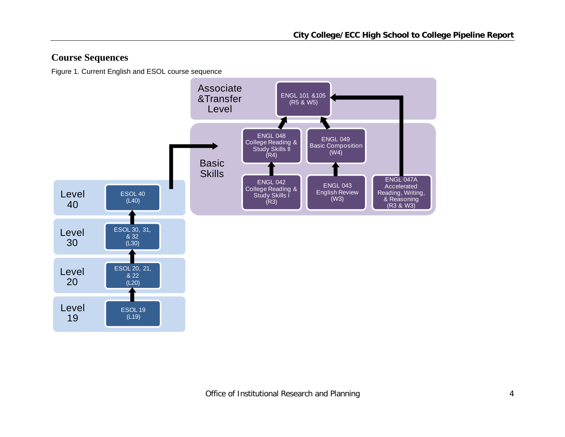## **Course Sequences**

Figure 1. Current English and ESOL course sequence

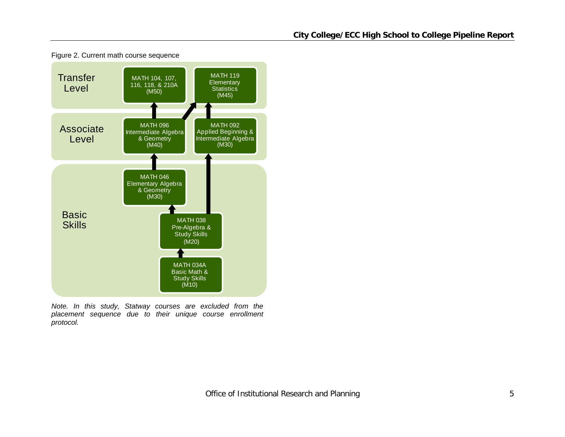

Figure 2. Current math course sequence

*Note. In this study, Statway courses are excluded from the placement sequence due to their unique course enrollment protocol.*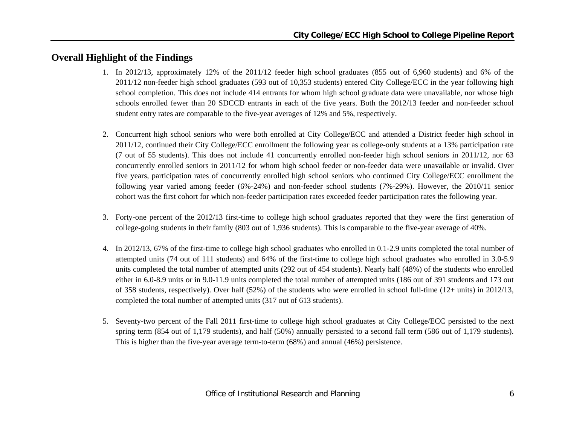## **Overall Highlight of the Findings**

- 1. In 2012/13, approximately 12% of the 2011/12 feeder high school graduates (855 out of 6,960 students) and 6% of the 2011/12 non-feeder high school graduates (593 out of 10,353 students) entered City College/ECC in the year following high school completion. This does not include 414 entrants for whom high school graduate data were unavailable, nor whose high schools enrolled fewer than 20 SDCCD entrants in each of the five years. Both the 2012/13 feeder and non-feeder school student entry rates are comparable to the five-year averages of 12% and 5%, respectively.
- 2. Concurrent high school seniors who were both enrolled at City College/ECC and attended a District feeder high school in 2011/12, continued their City College/ECC enrollment the following year as college-only students at a 13% participation rate (7 out of 55 students). This does not include 41 concurrently enrolled non-feeder high school seniors in 2011/12, nor 63 concurrently enrolled seniors in 2011/12 for whom high school feeder or non-feeder data were unavailable or invalid. Over five years, participation rates of concurrently enrolled high school seniors who continued City College/ECC enrollment the following year varied among feeder (6%-24%) and non-feeder school students (7%-29%). However, the 2010/11 senior cohort was the first cohort for which non-feeder participation rates exceeded feeder participation rates the following year.
- 3. Forty-one percent of the 2012/13 first-time to college high school graduates reported that they were the first generation of college-going students in their family (803 out of 1,936 students). This is comparable to the five-year average of 40%.
- 4. In 2012/13, 67% of the first-time to college high school graduates who enrolled in 0.1-2.9 units completed the total number of attempted units (74 out of 111 students) and 64% of the first-time to college high school graduates who enrolled in 3.0-5.9 units completed the total number of attempted units (292 out of 454 students). Nearly half (48%) of the students who enrolled either in 6.0-8.9 units or in 9.0-11.9 units completed the total number of attempted units (186 out of 391 students and 173 out of 358 students, respectively). Over half (52%) of the students who were enrolled in school full-time (12+ units) in 2012/13, completed the total number of attempted units (317 out of 613 students).
- 5. Seventy-two percent of the Fall 2011 first-time to college high school graduates at City College/ECC persisted to the next spring term (854 out of 1,179 students), and half (50%) annually persisted to a second fall term (586 out of 1,179 students). This is higher than the five-year average term-to-term (68%) and annual (46%) persistence.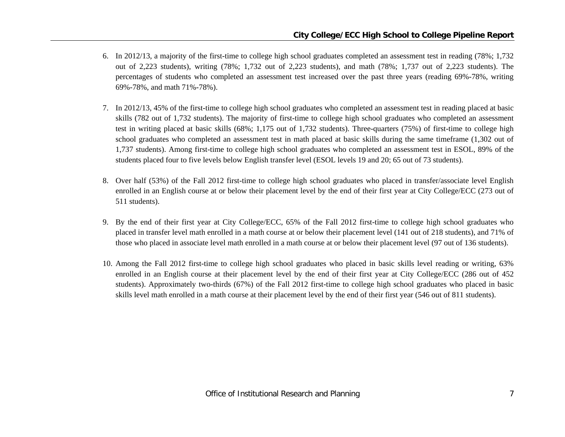- 6. In 2012/13, a majority of the first-time to college high school graduates completed an assessment test in reading (78%; 1,732 out of 2,223 students), writing (78%; 1,732 out of 2,223 students), and math (78%; 1,737 out of 2,223 students). The percentages of students who completed an assessment test increased over the past three years (reading 69%-78%, writing 69%-78%, and math 71%-78%).
- 7. In 2012/13, 45% of the first-time to college high school graduates who completed an assessment test in reading placed at basic skills (782 out of 1,732 students). The majority of first-time to college high school graduates who completed an assessment test in writing placed at basic skills (68%; 1,175 out of 1,732 students). Three-quarters (75%) of first-time to college high school graduates who completed an assessment test in math placed at basic skills during the same timeframe (1,302 out of 1,737 students). Among first-time to college high school graduates who completed an assessment test in ESOL, 89% of the students placed four to five levels below English transfer level (ESOL levels 19 and 20; 65 out of 73 students).
- 8. Over half (53%) of the Fall 2012 first-time to college high school graduates who placed in transfer/associate level English enrolled in an English course at or below their placement level by the end of their first year at City College/ECC (273 out of 511 students).
- 9. By the end of their first year at City College/ECC, 65% of the Fall 2012 first-time to college high school graduates who placed in transfer level math enrolled in a math course at or below their placement level (141 out of 218 students), and 71% of those who placed in associate level math enrolled in a math course at or below their placement level (97 out of 136 students).
- 10. Among the Fall 2012 first-time to college high school graduates who placed in basic skills level reading or writing, 63% enrolled in an English course at their placement level by the end of their first year at City College/ECC (286 out of 452 students). Approximately two-thirds (67%) of the Fall 2012 first-time to college high school graduates who placed in basic skills level math enrolled in a math course at their placement level by the end of their first year (546 out of 811 students).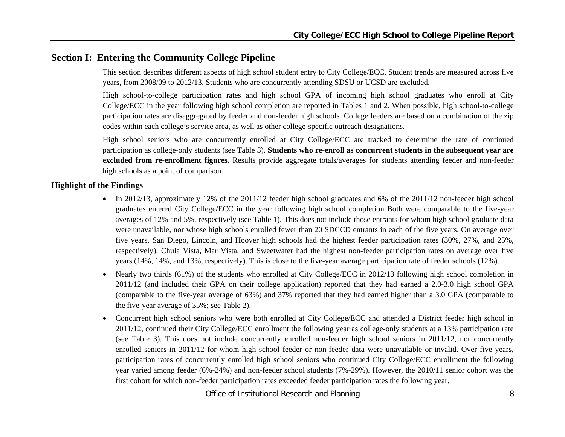## **Section I: Entering the Community College Pipeline**

This section describes different aspects of high school student entry to City College/ECC. Student trends are measured across five years, from 2008/09 to 2012/13. Students who are concurrently attending SDSU or UCSD are excluded.

High school-to-college participation rates and high school GPA of incoming high school graduates who enroll at City College/ECC in the year following high school completion are reported in Tables 1 and 2. When possible, high school-to-college participation rates are disaggregated by feeder and non-feeder high schools. College feeders are based on a combination of the zip codes within each college's service area, as well as other college-specific outreach designations.

High school seniors who are concurrently enrolled at City College/ECC are tracked to determine the rate of continued participation as college-only students (see Table 3). **Students who re-enroll as concurrent students in the subsequent year are excluded from re-enrollment figures.** Results provide aggregate totals/averages for students attending feeder and non-feeder high schools as a point of comparison.

#### **Highlight of the Findings**

- In 2012/13, approximately 12% of the 2011/12 feeder high school graduates and 6% of the 2011/12 non-feeder high school graduates entered City College/ECC in the year following high school completion Both were comparable to the five-year averages of 12% and 5%, respectively (see Table 1). This does not include those entrants for whom high school graduate data were unavailable, nor whose high schools enrolled fewer than 20 SDCCD entrants in each of the five years. On average over five years, San Diego, Lincoln, and Hoover high schools had the highest feeder participation rates (30%, 27%, and 25%, respectively). Chula Vista, Mar Vista, and Sweetwater had the highest non-feeder participation rates on average over five years (14%, 14%, and 13%, respectively). This is close to the five-year average participation rate of feeder schools (12%).
- 0 Nearly two thirds (61%) of the students who enrolled at City College/ECC in 2012/13 following high school completion in 2011/12 (and included their GPA on their college application) reported that they had earned a 2.0-3.0 high school GPA (comparable to the five-year average of 63%) and 37% reported that they had earned higher than a 3.0 GPA (comparable to the five-year average of 35%; see Table 2).
- $\bullet$  Concurrent high school seniors who were both enrolled at City College/ECC and attended a District feeder high school in 2011/12, continued their City College/ECC enrollment the following year as college-only students at a 13% participation rate (see Table 3). This does not include concurrently enrolled non-feeder high school seniors in 2011/12, nor concurrently enrolled seniors in 2011/12 for whom high school feeder or non-feeder data were unavailable or invalid. Over five years, participation rates of concurrently enrolled high school seniors who continued City College/ECC enrollment the following year varied among feeder (6%-24%) and non-feeder school students (7%-29%). However, the 2010/11 senior cohort was the first cohort for which non-feeder participation rates exceeded feeder participation rates the following year.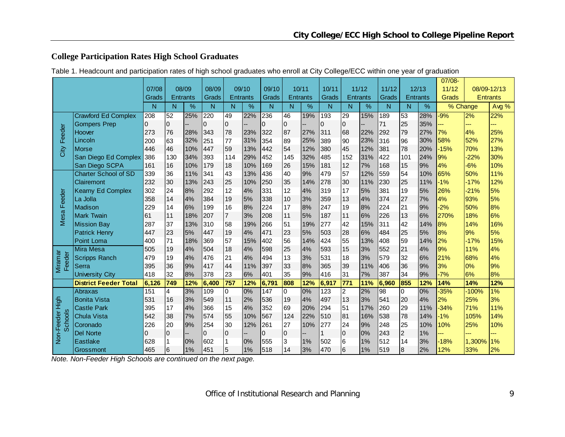## **College Participation Rates High School Graduates**

|  | Table 1. Headcount and participation rates of high school graduates who enroll at City College/ECC within one year of graduation |  |
|--|----------------------------------------------------------------------------------------------------------------------------------|--|
|  |                                                                                                                                  |  |

|                              |                              |          |             |                 |       |                |                 |                  |                |                 |       |                | 07/08-          |                 |                         |                 |        |          |                 |
|------------------------------|------------------------------|----------|-------------|-----------------|-------|----------------|-----------------|------------------|----------------|-----------------|-------|----------------|-----------------|-----------------|-------------------------|-----------------|--------|----------|-----------------|
|                              |                              | 07/08    |             | 08/09           | 08/09 |                | 09/10           | 09/10            |                | 10/11           | 10/11 |                | 11/12           | 11/12           |                         | 12/13           | 11/12  |          | 08/09-12/13     |
|                              |                              | Grads    |             | <b>Entrants</b> | Grads |                | <b>Entrants</b> | Grads            |                | <b>Entrants</b> | Grads |                | <b>Entrants</b> | Grads           |                         | <b>Entrants</b> | Grads  |          | <b>Entrants</b> |
|                              |                              | N        | N           | %               | N     | N              | %               | N                | N              | %               | N     | N              | %               | N               | N                       | %               |        | % Change | Avg %           |
|                              | <b>Crawford Ed Complex</b>   | 208      | 52          | 25%             | 220   | 49             | 22%             | 236              | 46             | 19%             | 193   | 29             | 15%             | 189             | 53                      | 28%             | $-9%$  | 2%       | 22%             |
|                              | <b>Gompers Prep</b>          | $\Omega$ | $\Omega$    |                 | 0     | $\mathbf 0$    |                 | $\Omega$         | $\overline{0}$ |                 | 0     | $\overline{0}$ |                 | 71              | 25                      | 35%             |        | ---      | ---             |
| Feeder                       | Hoover                       | 273      | 76          | 28%             | 343   | 78             | 23%             | 322              | 87             | 27%             | 311   | 68             | 22%             | 292             | 79                      | 27%             | 7%     | 4%       | 25%             |
|                              | Lincoln                      | 200      | 63          | 32%             | 251   | 77             | 31%             | 354              | 89             | 25%             | 389   | 90             | 23%             | 316             | 96                      | 30%             | 58%    | 52%      | 27%             |
| City                         | <b>Morse</b>                 | 446      | 46          | 10%             | 447   | 59             | 13%             | 442              | 54             | 12%             | 380   | 45             | 12%             | 381             | 78                      | 20%             | $-15%$ | 70%      | 13%             |
|                              | San Diego Ed Complex         | 386      | 130         | 34%             | 393   | 114            | 29%             | 452              | 145            | 32%             | 485   | 152            | 31%             | 422             | 101                     | 24%             | 9%     | $-22%$   | 30%             |
|                              | San Diego SCPA               | 161      | 16          | 10%             | 179   | 18             | 10%             | 169              | 26             | 15%             | 181   | 12             | 7%              | 168             | 15                      | 9%              | 4%     | $-6%$    | 10%             |
|                              | <b>Charter School of SD</b>  | 339      | 36          | 11%             | 341   | 43             | 13%             | 436              | 40             | 9%              | 479   | 57             | 12%             | 559             | 54                      | 10%             | 65%    | 50%      | 11%             |
|                              | Clairemont                   | 232      | 30          | 13%             | 243   | 25             | 10%             | 250              | 35             | 14%             | 278   | 30             | 11%             | 230             | 25                      | 11%             | $-1%$  | $-17%$   | 12%             |
|                              | <b>Kearny Ed Complex</b>     | 302      | 24          | 8%              | 292   | 12             | 4%              | 331              | 12             | 4%              | 319   | 17             | 5%              | 381             | 19                      | 5%              | 26%    | $-21%$   | 5%              |
| Feeder                       | La Jolla                     | 358      | 14          | 4%              | 384   | 19             | 5%              | 338              | 10             | 3%              | 359   | 13             | 4%              | 374             | 27                      | 7%              | 4%     | 93%      | 5%              |
| Mesa                         | <b>Madison</b>               | 229      | 14          | 6%              | 199   | 16             | 8%              | 224              | 17             | 8%              | 247   | 19             | 8%              | 224             | 21                      | 9%              | $-2%$  | 50%      | 8%              |
|                              | <b>Mark Twain</b>            | 61       | 11          | 18%             | 207   | $\overline{7}$ | 3%              | 208              | 11             | 5%              | 187   | 11             | 6%              | 226             | 13                      | 6%              | 270%   | 18%      | 6%              |
|                              | <b>Mission Bay</b>           | 287      | 37          | 13%             | 310   | 58             | 19%             | 266              | 51             | 19%             | 277   | 42             | 15%             | 311             | 42                      | 14%             | 8%     | 14%      | 16%             |
|                              | <b>Patrick Henry</b>         | 447      | 23          | 5%              | 447   | 19             | 4%              | 471              | 23             | 5%              | 503   | 28             | 6%              | 484             | 25                      | 5%              | 8%     | 9%       | 5%              |
|                              | <b>Point Loma</b>            | 400      | 71          | 18%             | 369   | 57             | 15%             | 402              | 56             | 14%             | 424   | 55             | 13%             | 408             | 59                      | 14%             | 2%     | $-17%$   | 15%             |
|                              | <b>Mira Mesa</b>             | 505      | 19          | 4%              | 504   | 18             | 4%              | 598              | 25             | 4%              | 593   | 15             | 3%              | 552             | 21                      | 4%              | 9%     | 11%      | 4%              |
| Miramar<br>Feeder            | <b>Scripps Ranch</b>         | 479      | 19          | 4%              | 476   | 21             | 4%              | 494              | 13             | 3%              | 531   | 18             | 3%              | 579             | 32                      | 6%              | 21%    | 68%      | 4%              |
|                              | Serra                        | 395      | 36          | 9%              | 417   | 44             | 11%             | 397              | 33             | 8%              | 365   | 39             | 11%             | 406             | 36                      | 9%              | 3%     | 0%       | 9%              |
|                              | <b>University City</b>       | 418      | 32          | 8%              | 378   | 23             | 6%              | 401              | 35             | 9%              | 416   | 31             | 7%              | 387             | 34                      | 9%              | $-7%$  | 6%       | 8%              |
|                              | <b>District Feeder Total</b> | 6,126    | 749         | 12%             | 6,400 | 757            | 12%             | 6,791            | 808            | 12%             | 6,917 | 771            | 11%             | 6,960           | 855                     | 12%             | 14%    | 14%      | 12%             |
|                              | Abraxas                      | 151      | 4           | 3%              | 109   | $\mathbf 0$    | 0%              | $\overline{147}$ | 0              | 0%              | 123   | $\overline{2}$ | 2%              | $\overline{98}$ | 0                       | 0%              | $-35%$ | $-100%$  | 1%              |
| High                         | <b>Bonita Vista</b>          | 531      | 16          | 3%              | 549   | 11             | 2%              | 536              | 19             | 4%              | 497   | 13             | 3%              | 541             | 20                      | 4%              | 2%     | 25%      | 3%              |
|                              | <b>Castle Park</b>           | 395      | 17          | 4%              | 366   | 15             | 4%              | 352              | 69             | 20%             | 294   | 51             | 17%             | 260             | 29                      | 11%             | $-34%$ | 71%      | 11%             |
|                              | <b>Chula Vista</b>           | 542      | 38          | 7%              | 574   | 55             | 10%             | 567              | 124            | 22%             | 510   | 81             | 16%             | 538             | 78                      | 14%             | $-1%$  | 105%     | 14%             |
| Non-Feeder<br><b>Schools</b> | Coronado                     | 226      | 20          | 9%              | 254   | 30             | 12%             | 261              | 27             | 10%             | 277   | 24             | 9%              | 248             | 25                      | 10%             | 10%    | 25%      | 10%             |
|                              | <b>Del Norte</b>             | 0        | $\mathbf 0$ |                 | 0     | $\pmb{0}$      |                 | $\mathbf 0$      | $\pmb{0}$      |                 |       | 0              | 0%              | 243             | $\overline{\mathbf{c}}$ | 1%              |        |          |                 |
|                              | Eastlake                     | 628      |             | 0%              | 602   |                | 0%              | 555              | 3              | 1%              | 502   | 6              | 1%              | 512             | 14                      | 3%              | $-18%$ | 1,300%   | 1%              |
|                              | Grossmont                    | 465      | 6           | 1%              | 451   | 5              | 1%              | 518              | 14             | 3%              | 470   | l6             | 1%              | 519             | $\overline{8}$          | 2%              | 12%    | 33%      | 2%              |

*Note. Non-Feeder High Schools are continued on the next page.*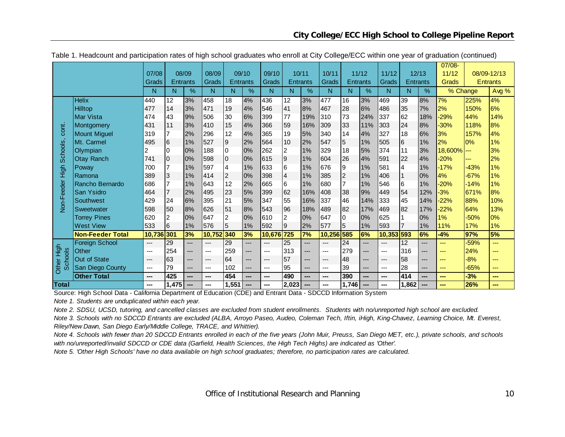|                 |                         |        |                 |                 |        |                  |                 |        |                         |       |              |                 |       |        |                 |       | $07/08 -$      |        |                 |
|-----------------|-------------------------|--------|-----------------|-----------------|--------|------------------|-----------------|--------|-------------------------|-------|--------------|-----------------|-------|--------|-----------------|-------|----------------|--------|-----------------|
|                 |                         | 07/08  |                 | 08/09           | 08/09  |                  | 09/10           | 09/10  |                         | 10/11 | 10/11        |                 | 11/12 | 11/12  |                 | 12/13 | 11/12          |        | 08/09-12/13     |
|                 |                         | Grads  |                 | <b>Entrants</b> | Grads  |                  | <b>Entrants</b> | Grads  | <b>Entrants</b>         |       | <b>Grads</b> | <b>Entrants</b> |       | Grads  | <b>Entrants</b> |       | Grads          |        | <b>Entrants</b> |
|                 |                         | N      | N               | $\%$            | N      | N                | $\%$            | N      | N                       | $\%$  | N            | N.              | %     | N      | N               | %     | % Change       |        | Avg %           |
|                 | <b>Helix</b>            | 440    | 12              | 3%              | 458    | 18               | 4%              | 436    | $\overline{12}$         | 3%    | 477          | 16              | 3%    | 469    | 39              | 8%    | 7%             | 225%   | 4%              |
|                 | <b>Hilltop</b>          | 477    | 14              | 3%              | 471    | 19               | 4%              | 546    | 41                      | 8%    | 467          | 28              | 6%    | 486    | 35              | 7%    | 2%             | 150%   | 6%              |
|                 | Mar Vista               | 474    | 43              | 9%              | 506    | 30               | 6%              | 399    | 77                      | 19%   | 310          | 73              | 24%   | 337    | 62              | 18%   | $-29%$         | 44%    | 14%             |
| cont.           | Montgomery              | 431    | 11              | 3%              | 410    | 15               | 4%              | 366    | 59                      | 16%   | 309          | 33              | 11%   | 303    | 24              | 8%    | $-30%$         | 118%   | 8%              |
|                 | <b>Mount Miguel</b>     | 319    |                 | 2%              | 296    | 12               | 4%              | 365    | 19                      | 5%    | 340          | 14              | 4%    | 327    | 18              | 6%    | 3%             | 157%   | 4%              |
|                 | Mt. Carmel              | 495    | 16              | 1%              | 527    | $\boldsymbol{9}$ | 2%              | 564    | 10                      | 2%    | 547          | 5               | 1%    | 505    | 6               | 1%    | 2%             | 0%     | 1%              |
|                 | Olympian                | 2      | <sup>0</sup>    | 0%              | 188    | $\pmb{0}$        | 0%              | 262    | $\overline{\mathbf{c}}$ | 1%    | 329          | 18              | 5%    | 374    | 11              | 3%    | $18,600\%$ --- |        | 3%              |
| <b>Schools</b>  | <b>Otay Ranch</b>       | 741    | 0               | 0%              | 598    | $\overline{0}$   | 0%              | 615    | $\overline{9}$          | 1%    | 604          | 26              | 4%    | 591    | 22              | 4%    | $-20%$         | ---    | 2%              |
|                 | Poway                   | 700    |                 | 1%              | 597    | 4                | 1%              | 633    | $6\overline{6}$         | 1%    | 676          | 9               | 1%    | 581    | 4               | 1%    | $-17%$         | $-43%$ | 1%              |
|                 | Ramona                  | 389    | 3               | 1%              | 414    | $\overline{c}$   | 0%              | 398    | $\overline{4}$          | 1%    | 385          | $\overline{c}$  | 1%    | 406    | $\mathbf{1}$    | 0%    | 4%             | $-67%$ | 1%              |
|                 | Rancho Bernardo         | 686    |                 | 1%              | 643    | 12               | 2%              | 665    | $\overline{6}$          | 1%    | 680          | 7               | 1%    | 546    | 6               | 1%    | $-20%$         | $-14%$ | 1%              |
| Non-Feeder High | San Ysidro              | 464    |                 | 2%              | 495    | 23               | 5%              | 399    | 62                      | 16%   | 408          | 38              | 9%    | 449    | 54              | 12%   | $-3%$          | 671%   | 8%              |
|                 | Southwest               | 429    | 24              | 6%              | 395    | 21               | 5%              | 347    | 55                      | 16%   | 337          | 46              | 14%   | 333    | 45              | 14%   | $-22%$         | 88%    | 10%             |
|                 | Sweetwater              | 598    | 50              | 8%              | 626    | 51               | 8%              | 543    | 96                      | 18%   | 489          | 82              | 17%   | 469    | 82              | 17%   | $-22%$         | 64%    | 13%             |
|                 | <b>Torrey Pines</b>     | 620    | 2               | 0%              | 647    | 2                | 0%              | 610    | $\overline{c}$          | 0%    | 647          | 0               | 0%    | 625    |                 | 0%    | 1%             | $-50%$ | 0%              |
|                 | <b>West View</b>        | 533    | 6               | 1%              | 576    | $\overline{5}$   | 1%              | 592    | 9                       | 2%    | 577          | 5               | 1%    | 593    | $\overline{7}$  | 1%    | 11%            | 17%    | 1%              |
|                 | <b>Non-Feeder Total</b> | 10,736 | 301             | 3%              | 10,752 | 340              | 3%              | 10,676 | 725                     | 7%    | 10,256       | 585             | 6%    | 10,353 | 593             | 6%    | $-4%$          | 97%    | 5%              |
|                 | <b>Foreign School</b>   | ---    | $\overline{29}$ | $---$           | ---    | 29               | ---             | ---    | $\overline{25}$         | ---   | $---$        | 24              | ---   | $---$  | 12              | ---   | $---$          | -59%   | ---             |
| High            | Other                   | ---    | 254             | ---             | ---    | 259              | ---             | $---$  | 313                     | ---   | ---          | 279             | ---   | ---    | 316             | ---   | $---$          | 24%    | ---             |
| <b>Schools</b>  | <b>Out of State</b>     | $---$  | 63              | ---             | $---$  | 64               | ---             | $---$  | 57                      | ---   | ---          | 48              | ---   | ---    | 58              | $---$ | ---            | $-8%$  | ---             |
| Other           | San Diego County        | ---    | 79              | ---             | ---    | 102              | ---             | $---$  | 95                      | ---   | ---          | 39              | ---   | ---    | 28              | ---   | ---            | $-65%$ | ---             |
|                 | <b>Other Total</b>      | ---    | 425             | ---             | ---    | 454              | ---             | ---    | 490                     | ---   | ---          | 390             | ---   | ---    | 414             | ---   | $- - -$        | $-3%$  | ---             |
| <b>Total</b>    |                         | ---    | 1,475           | ---             |        | 1,551            | ---             | ---    | 2,023                   | ---   | ---          | 1,746           |       | ---    | 1,862           | ---   |                | 26%    | ---             |

Table 1. Headcount and participation rates of high school graduates who enroll at City College/ECC within one year of graduation (continued)

Source: High School Data - California Department of Education (CDE) and Entrant Data - SDCCD Information System

*Note 1. Students are unduplicated within each year.*

*Note 2. SDSU, UCSD, tutoring, and cancelled classes are excluded from student enrollments. Students with no/unreported high school are excluded.*

*Note 3. Schools with no SDCCD Entrants are excluded (ALBA, Arroyo Paseo, Audeo, Coleman Tech, Iftin, iHigh, King-Chavez, Learning Choice, Mt. Everest, Riley/New Dawn, San Diego Early/Middle College, TRACE, and Whittier).*

*Note 4. Schools with fewer than 20 SDCCD Entrants enrolled in each of the five years (John Muir, Preuss, San Diego MET, etc.), private schools, and schools with no/unreported/invalid SDCCD or CDE data (Garfield, Health Sciences, the High Tech Highs) are indicated as 'Other'.*

*Note 5. 'Other High Schools' have no data available on high school graduates; therefore, no participation rates are calculated.*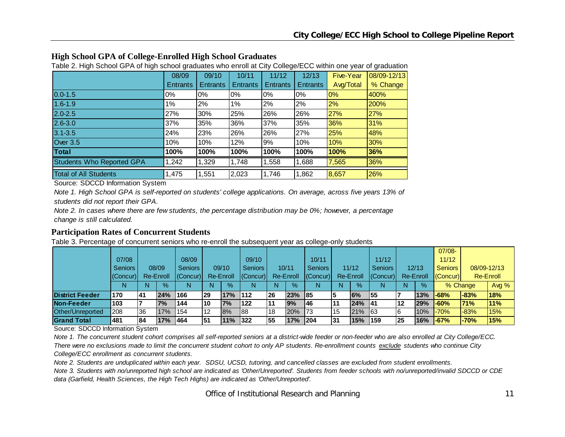| <b>Table 2. Then Concert of A critical concert graduated who children at Oily Concert LOC Within one year of graduation</b> |                 |                 |                 |                 |                  |             |  |  |  |  |  |  |
|-----------------------------------------------------------------------------------------------------------------------------|-----------------|-----------------|-----------------|-----------------|------------------|-------------|--|--|--|--|--|--|
| 08/09                                                                                                                       | 09/10           | 10/11           | 11/12           | 12/13           | <b>Five-Year</b> | 08/09-12/13 |  |  |  |  |  |  |
| <b>Entrants</b>                                                                                                             | <b>Entrants</b> | <b>Entrants</b> | <b>Entrants</b> | <b>Entrants</b> | Avg/Total        | % Change    |  |  |  |  |  |  |
| 0%                                                                                                                          | $0\%$           | $0\%$           | $0\%$           | 0%              | 0%               | 400%        |  |  |  |  |  |  |
| $1\%$                                                                                                                       | 2%              | $1\%$           | 2%              | 2%              | 2%               | 200%        |  |  |  |  |  |  |
| 27%                                                                                                                         | 30%             | 25%             | 26%             | 26%             | 27%              | 27%         |  |  |  |  |  |  |
| 37%                                                                                                                         | 35%             | 36%             | 37%             | 35%             | 36%              | 31%         |  |  |  |  |  |  |
| 24%                                                                                                                         | 23%             | 26%             | 26%             | 27%             | 25%              | 48%         |  |  |  |  |  |  |
| 10%                                                                                                                         | 10%             | 12%             | 9%              | 10%             | 10%              | 30%         |  |  |  |  |  |  |
| 100%                                                                                                                        | 100%            | 100%            | 100%            | 100%            | 100%             | 36%         |  |  |  |  |  |  |
| ,242                                                                                                                        | 1,329           | 1,748           | 1,558           | 1,688           | 7,565            | 36%         |  |  |  |  |  |  |
| 1,475                                                                                                                       | 1,551           | 2,023           | 1,746           | 1,862           | 8,657            | 26%         |  |  |  |  |  |  |
|                                                                                                                             |                 |                 |                 |                 |                  |             |  |  |  |  |  |  |

## **High School GPA of College-Enrolled High School Graduates**

Table 2. High School GPA of high school graduates who enroll at City College/ECC within one year of graduation

Source: SDCCD Information System

*Note 1. High School GPA is self-reported on students' college applications. On average, across five years 13% of students did not report their GPA.*

*Note 2. In cases where there are few students, the percentage distribution may be 0%; however, a percentage change is still calculated.*

#### **Participation Rates of Concurrent Students**

Table 3. Percentage of concurrent seniors who re-enroll the subsequent year as college-only students

|                        |                |           |           |                  |     |           |                  |           |           |                |     |                  |                  |    |           | $07/08 -$      |          |             |
|------------------------|----------------|-----------|-----------|------------------|-----|-----------|------------------|-----------|-----------|----------------|-----|------------------|------------------|----|-----------|----------------|----------|-------------|
|                        | 07/08          |           |           | 08/09            |     |           | 09/10            |           |           | 10/11          |     |                  | 11/12            |    |           | 11/12          |          |             |
|                        | <b>Seniors</b> |           | 08/09     | <b>Seniors</b>   |     | 09/10     | <b>Seniors</b>   |           | 10/11     | <b>Seniors</b> |     | 11/12            | <b>Seniors</b>   |    | 12/13     | <b>Seniors</b> |          | 08/09-12/13 |
|                        | $ $ (Concur)   |           | Re-Enroll | $ $ (Concur) $ $ |     | Re-Enroll | $ $ (Concur) $ $ |           | Re-Enroll | (Concur)       |     | <b>Re-Enroll</b> | $ $ (Concur) $ $ |    | Re-Enroll | (Concur)       |          | Re-Enroll   |
|                        |                | N         | $\%$      | N                | N   | $\%$      | N                | N         | %         | N              |     | $\%$             |                  | Ν  | $\%$      |                | % Change | Avg $%$     |
| <b>District Feeder</b> | 170            | <b>41</b> | 24%       | <b>166</b>       | 29  | 17%       | 112              | <b>26</b> | 23%       | 185            |     | 6%               | 155              |    | 13%       | $-68%$         | $-83%$   | 18%         |
| Non-Feeder             | 103            |           | 7%        | 144              | 10  | 7%        | 122              |           | 9%        | 146            | l11 | 24% 41           |                  | 12 | 29%       | $-60%$         | 71%      | 11%         |
| Other/Unreported       | 208            | l36       | 17%       | 154              | 12  | 8%        | 188              | 18        | 20%       | 173            | 15  | 21% 63           |                  |    | 10%       | $-70%$         | $-83%$   | 15%         |
| <b>Grand Total</b>     | 481            | 84        | 17%       | 1464             | 151 | 11%       | 322              | 55        | 17%       | 204            | 131 | 15%              | 159              | 25 | 16%       | <b>-67%</b>    | $-70%$   | <b>15%</b>  |

Source: SDCCD Information System

*Note 1. The concurrent student cohort comprises all self-reported seniors at a district-wide feeder or non-feeder who are also enrolled at City College/ECC. There were no exclusions made to limit the concurrent student cohort to only AP students. Re-enrollment counts exclude students who continue City College/ECC enrollment as concurrent students.* 

*Note 2. Students are unduplicated within each year. SDSU, UCSD, tutoring, and cancelled classes are excluded from student enrollments. Note 3. Students with no/unreported high school are indicated as 'Other/Unreported'. Students from feeder schools with no/unreported/invalid SDCCD or CDE data (Garfield, Health Sciences, the High Tech Highs) are indicated as 'Other/Unreported'.*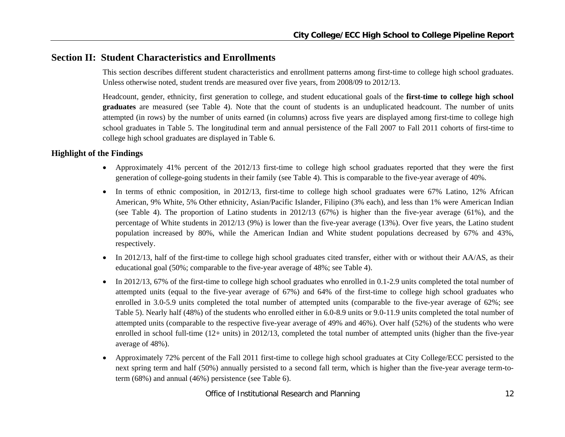## **Section II: Student Characteristics and Enrollments**

This section describes different student characteristics and enrollment patterns among first-time to college high school graduates. Unless otherwise noted, student trends are measured over five years, from 2008/09 to 2012/13.

Headcount, gender, ethnicity, first generation to college, and student educational goals of the **first-time to college high school graduates** are measured (see Table 4). Note that the count of students is an unduplicated headcount. The number of units attempted (in rows) by the number of units earned (in columns) across five years are displayed among first-time to college high school graduates in Table 5. The longitudinal term and annual persistence of the Fall 2007 to Fall 2011 cohorts of first-time to college high school graduates are displayed in Table 6.

#### **Highlight of the Findings**

- Approximately 41% percent of the 2012/13 first-time to college high school graduates reported that they were the first generation of college-going students in their family (see Table 4). This is comparable to the five-year average of 40%.
- In terms of ethnic composition, in 2012/13, first-time to college high school graduates were 67% Latino, 12% African American, 9% White, 5% Other ethnicity, Asian/Pacific Islander, Filipino (3% each), and less than 1% were American Indian (see Table 4). The proportion of Latino students in 2012/13 (67%) is higher than the five-year average (61%), and the percentage of White students in 2012/13 (9%) is lower than the five-year average (13%). Over five years, the Latino student population increased by 80%, while the American Indian and White student populations decreased by 67% and 43%, respectively.
- $\bullet$  In 2012/13, half of the first-time to college high school graduates cited transfer, either with or without their AA/AS, as their educational goal (50%; comparable to the five-year average of 48%; see Table 4).
- $\bullet$  In 2012/13, 67% of the first-time to college high school graduates who enrolled in 0.1-2.9 units completed the total number of attempted units (equal to the five-year average of 67%) and 64% of the first-time to college high school graduates who enrolled in 3.0-5.9 units completed the total number of attempted units (comparable to the five-year average of 62%; see Table 5). Nearly half (48%) of the students who enrolled either in 6.0-8.9 units or 9.0-11.9 units completed the total number of attempted units (comparable to the respective five-year average of 49% and 46%). Over half (52%) of the students who were enrolled in school full-time (12+ units) in 2012/13, completed the total number of attempted units (higher than the five-year average of 48%).
- $\bullet$  Approximately 72% percent of the Fall 2011 first-time to college high school graduates at City College/ECC persisted to the next spring term and half (50%) annually persisted to a second fall term, which is higher than the five-year average term-toterm (68%) and annual (46%) persistence (see Table 6).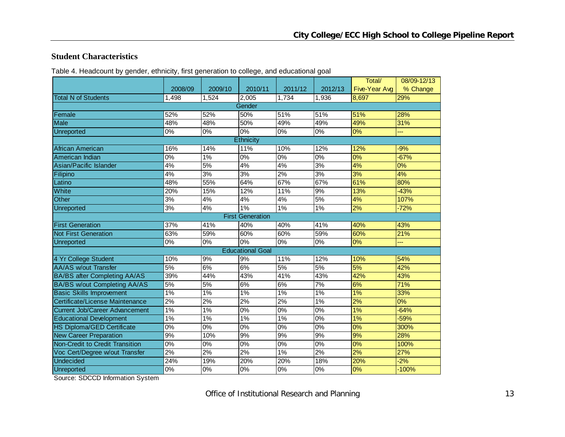#### **Student Characteristics**

Table 4. Headcount by gender, ethnicity, first generation to college, and educational goal

|                                       |                  |         |                         |                  |         | Total/               | 08/09-12/13 |  |  |  |  |
|---------------------------------------|------------------|---------|-------------------------|------------------|---------|----------------------|-------------|--|--|--|--|
|                                       | 2008/09          | 2009/10 | 2010/11                 | 2011/12          | 2012/13 | <b>Five-Year Avg</b> | % Change    |  |  |  |  |
| <b>Total N of Students</b>            | 1,498            | 1,524   | 2,005                   | 1,734            | 1,936   | 8,697                | 29%         |  |  |  |  |
|                                       |                  |         | Gender                  |                  |         |                      |             |  |  |  |  |
| Female                                | 52%              | 52%     | 50%                     | 51%              | 51%     | 51%                  | 28%         |  |  |  |  |
| <b>Male</b>                           | 48%              | 48%     | 50%                     | 49%              | 49%     | 49%                  | 31%         |  |  |  |  |
| Unreported                            | 0%               | 0%      | $0\%$                   | 0%               | 0%      | 0%                   |             |  |  |  |  |
| Ethnicity                             |                  |         |                         |                  |         |                      |             |  |  |  |  |
| African American                      | 16%              | 14%     | 11%                     | 10%              | 12%     | 12%                  | $-9%$       |  |  |  |  |
| American Indian                       | $\overline{0\%}$ | 1%      | 0%                      | $\overline{0\%}$ | $0\%$   | 0%                   | $-67%$      |  |  |  |  |
| Asian/Pacific Islander                | 4%               | 5%      | 4%                      | 4%               | 3%      | 4%                   | $0\%$       |  |  |  |  |
| Filipino                              | 4%               | 3%      | 3%                      | 2%               | 3%      | 3%                   | 4%          |  |  |  |  |
| Latino                                | 48%              | 55%     | 64%                     | 67%              | 67%     | 61%                  | 80%         |  |  |  |  |
| White                                 | 20%              | 15%     | 12%                     | 11%              | 9%      | 13%                  | $-43%$      |  |  |  |  |
| Other                                 | 3%               | 4%      | 4%                      | 4%               | 5%      | 4%                   | 107%        |  |  |  |  |
| <b>Unreported</b>                     | 3%               | 4%      | 1%                      | 1%               | 1%      | 2%                   | $-72%$      |  |  |  |  |
| <b>First Generation</b>               |                  |         |                         |                  |         |                      |             |  |  |  |  |
| <b>First Generation</b>               | 37%              | 41%     | 40%                     | 40%              | 41%     | 40%                  | 43%         |  |  |  |  |
| <b>Not First Generation</b>           | 63%              | 59%     | 60%                     | 60%              | 59%     | 60%                  | 21%         |  |  |  |  |
| <b>Unreported</b>                     | 0%               | 0%      | $0\%$                   | $0\%$            | 0%      | 0%                   | ---         |  |  |  |  |
|                                       |                  |         | <b>Educational Goal</b> |                  |         |                      |             |  |  |  |  |
| 4 Yr College Student                  | 10%              | 9%      | 9%                      | 11%              | 12%     | 10%                  | 54%         |  |  |  |  |
| <b>AA/AS w/out Transfer</b>           | 5%               | 6%      | 6%                      | 5%               | 5%      | 5%                   | 42%         |  |  |  |  |
| <b>BA/BS after Completing AA/AS</b>   | 39%              | 44%     | 43%                     | 41%              | 43%     | 42%                  | 43%         |  |  |  |  |
| <b>BA/BS w/out Completing AA/AS</b>   | 5%               | 5%      | 6%                      | 6%               | 7%      | 6%                   | 71%         |  |  |  |  |
| <b>Basic Skills Improvement</b>       | 1%               | $1\%$   | $1\%$                   | 1%               | 1%      | 1%                   | 33%         |  |  |  |  |
| Certificate/License Maintenance       | 2%               | 2%      | 2%                      | 2%               | 1%      | 2%                   | 0%          |  |  |  |  |
| <b>Current Job/Career Advancement</b> | 1%               | 1%      | 0%                      | $0\%$            | 0%      | 1%                   | $-64%$      |  |  |  |  |
| <b>Educational Development</b>        | 1%               | $1\%$   | $1\%$                   | $1\%$            | $0\%$   | 1%                   | $-59%$      |  |  |  |  |
| <b>HS Diploma/GED Certificate</b>     | 0%               | 0%      | 0%                      | 0%               | 0%      | 0%                   | 300%        |  |  |  |  |
| <b>New Career Preparation</b>         | 9%               | 10%     | 9%                      | 9%               | 9%      | 9%                   | 28%         |  |  |  |  |
| Non-Credit to Credit Transition       | 0%               | 0%      | $0\%$                   | 0%               | 0%      | 0%                   | 100%        |  |  |  |  |
| Voc Cert/Degree w/out Transfer        | 2%               | 2%      | 2%                      | 1%               | 2%      | 2%                   | 27%         |  |  |  |  |
| <b>Undecided</b>                      | 24%              | 19%     | 20%                     | 20%              | 18%     | 20%                  | $-2%$       |  |  |  |  |
| Unreported                            | $0\%$            | 0%      | $\overline{0\%}$        | $0\%$            | 0%      | 0%                   | $-100%$     |  |  |  |  |

Source: SDCCD Information System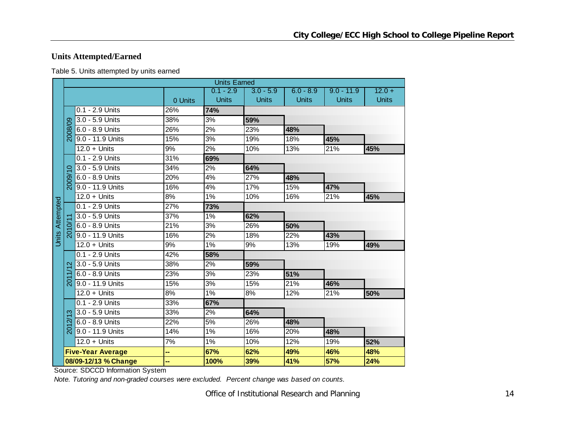## **Units Attempted/Earned**

| Table 5. Units attempted by units earned |
|------------------------------------------|
|------------------------------------------|

| <b>Units Earned</b>    |                     |                          |         |                  |              |              |              |              |  |  |  |  |  |
|------------------------|---------------------|--------------------------|---------|------------------|--------------|--------------|--------------|--------------|--|--|--|--|--|
|                        |                     |                          |         | $0.1 - 2.9$      | $3.0 - 5.9$  | $6.0 - 8.9$  | $9.0 - 11.9$ | $12.0 +$     |  |  |  |  |  |
|                        |                     |                          | 0 Units | <b>Units</b>     | <b>Units</b> | <b>Units</b> | <b>Units</b> | <b>Units</b> |  |  |  |  |  |
|                        |                     | 0.1 - 2.9 Units          | 26%     | 74%              |              |              |              |              |  |  |  |  |  |
|                        |                     | 3.0 - 5.9 Units          | 38%     | 3%               | 59%          |              |              |              |  |  |  |  |  |
|                        | 2008/09             | 6.0 - 8.9 Units          | 26%     | 2%               | 23%          | 48%          |              |              |  |  |  |  |  |
|                        |                     | 9.0 - 11.9 Units         | 15%     | 3%               | 19%          | 18%          | 45%          |              |  |  |  |  |  |
|                        |                     | $12.0 +$ Units           | 9%      | 2%               | 10%          | 13%          | 21%          | 45%          |  |  |  |  |  |
|                        |                     | 0.1 - 2.9 Units          | 31%     | 69%              |              |              |              |              |  |  |  |  |  |
|                        | $\circ$             | 3.0 - 5.9 Units          | 34%     | 2%               | 64%          |              |              |              |  |  |  |  |  |
|                        | 2009/               | 6.0 - 8.9 Units          | 20%     | 4%               | 27%          | 48%          |              |              |  |  |  |  |  |
|                        |                     | 9.0 - 11.9 Units         | 16%     | 4%               | 17%          | 15%          | 47%          |              |  |  |  |  |  |
|                        |                     | $12.0 +$ Units           | 8%      | 1%               | 10%          | 16%          | 21%          | 45%          |  |  |  |  |  |
| <b>Units Attempted</b> |                     | 0.1 - 2.9 Units          | 27%     | 73%              |              |              |              |              |  |  |  |  |  |
|                        |                     | 3.0 - 5.9 Units          | 37%     | $1\%$            | 62%          |              |              |              |  |  |  |  |  |
|                        |                     | 6.0 - 8.9 Units          | 21%     | 3%               | 26%          | 50%          |              |              |  |  |  |  |  |
|                        | <u>న్</u>           | 9.0 - 11.9 Units         | 16%     | 2%               | 18%          | 22%          | 43%          |              |  |  |  |  |  |
|                        |                     | $12.0 +$ Units           | 9%      | 1%               | 9%           | 13%          | 19%          | 49%          |  |  |  |  |  |
|                        |                     | 0.1 - 2.9 Units          | 42%     | 58%              |              |              |              |              |  |  |  |  |  |
|                        | $\mathbf{\Omega}$   | 3.0 - 5.9 Units          | 38%     | 2%               | 59%          |              |              |              |  |  |  |  |  |
|                        |                     | 6.0 - 8.9 Units          | 23%     | $\overline{3\%}$ | 23%          | 51%          |              |              |  |  |  |  |  |
|                        | $\overline{5}$      | $9.0 - 11.9$ Units       | 15%     | 3%               | 15%          | 21%          | 46%          |              |  |  |  |  |  |
|                        |                     | $12.0 +$ Units           | 8%      | 1%               | 8%           | 12%          | 21%          | 50%          |  |  |  |  |  |
|                        |                     | 0.1 - 2.9 Units          | 33%     | 67%              |              |              |              |              |  |  |  |  |  |
|                        | က                   | 3.0 - 5.9 Units          | 33%     | 2%               | 64%          |              |              |              |  |  |  |  |  |
|                        | $\overline{\alpha}$ | 6.0 - 8.9 Units          | 22%     | 5%               | 26%          | 48%          |              |              |  |  |  |  |  |
|                        | <u>ର</u>            | 9.0 - 11.9 Units         | 14%     | 1%               | 16%          | 20%          | 48%          |              |  |  |  |  |  |
|                        |                     | $12.0 +$ Units           | 7%      | 1%               | 10%          | 12%          | 19%          | 52%          |  |  |  |  |  |
|                        |                     | <b>Five-Year Average</b> | н,      | 67%              | 62%          | 49%          | 46%          | 48%          |  |  |  |  |  |
|                        |                     | 08/09-12/13 % Change     |         | 100%             | 39%          | 41%          | 57%          | 24%          |  |  |  |  |  |

Source: SDCCD Information System

*Note. Tutoring and non-graded courses were excluded. Percent change was based on counts.*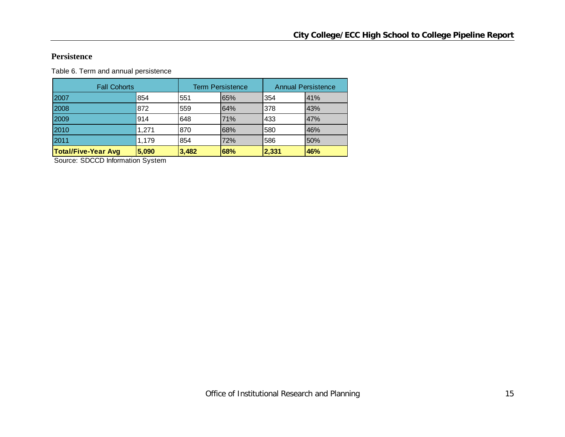#### **Persistence**

Table 6. Term and annual persistence

| <b>Fall Cohorts</b>        |       |       | <b>Term Persistence</b> | <b>Annual Persistence</b> |     |  |  |
|----------------------------|-------|-------|-------------------------|---------------------------|-----|--|--|
| 2007                       | 854   | 551   | 65%                     | 354                       | 41% |  |  |
| 2008                       | 872   | 559   | 64%                     | 378                       | 43% |  |  |
| 2009                       | 914   | 648   | 71%                     | 433                       | 47% |  |  |
| 2010                       | 1.271 | 870   | 68%                     | 580                       | 46% |  |  |
| 2011                       | 1.179 | 854   | 72%                     | 586                       | 50% |  |  |
| <b>Total/Five-Year Avg</b> | 5,090 | 3,482 | 68%                     | 2,331                     | 46% |  |  |

Source: SDCCD Information System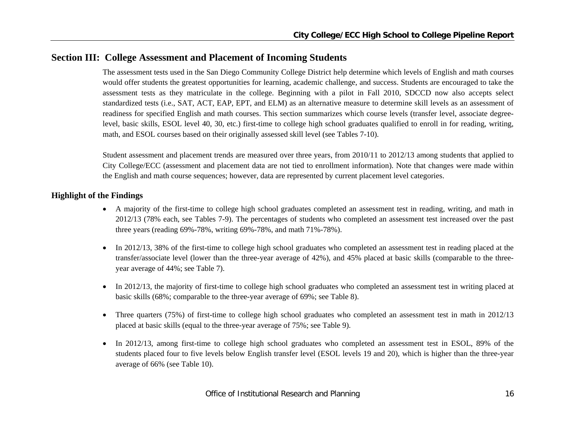## **Section III: College Assessment and Placement of Incoming Students**

The assessment tests used in the San Diego Community College District help determine which levels of English and math courses would offer students the greatest opportunities for learning, academic challenge, and success. Students are encouraged to take the assessment tests as they matriculate in the college. Beginning with a pilot in Fall 2010, SDCCD now also accepts select standardized tests (i.e., SAT, ACT, EAP, EPT, and ELM) as an alternative measure to determine skill levels as an assessment of readiness for specified English and math courses. This section summarizes which course levels (transfer level, associate degreelevel, basic skills, ESOL level 40, 30, etc.) first-time to college high school graduates qualified to enroll in for reading, writing, math, and ESOL courses based on their originally assessed skill level (see Tables 7-10).

Student assessment and placement trends are measured over three years, from 2010/11 to 2012/13 among students that applied to City College/ECC (assessment and placement data are not tied to enrollment information). Note that changes were made within the English and math course sequences; however, data are represented by current placement level categories.

#### **Highlight of the Findings**

- A majority of the first-time to college high school graduates completed an assessment test in reading, writing, and math in 2012/13 (78% each, see Tables 7-9). The percentages of students who completed an assessment test increased over the past three years (reading 69%-78%, writing 69%-78%, and math 71%-78%).
- $\bullet$  In 2012/13, 38% of the first-time to college high school graduates who completed an assessment test in reading placed at the transfer/associate level (lower than the three-year average of 42%), and 45% placed at basic skills (comparable to the threeyear average of 44%; see Table 7).
- $\bullet$  In 2012/13, the majority of first-time to college high school graduates who completed an assessment test in writing placed at basic skills (68%; comparable to the three-year average of 69%; see Table 8).
- $\bullet$  Three quarters (75%) of first-time to college high school graduates who completed an assessment test in math in 2012/13 placed at basic skills (equal to the three-year average of 75%; see Table 9).
- 0 In 2012/13, among first-time to college high school graduates who completed an assessment test in ESOL, 89% of the students placed four to five levels below English transfer level (ESOL levels 19 and 20), which is higher than the three-year average of 66% (see Table 10).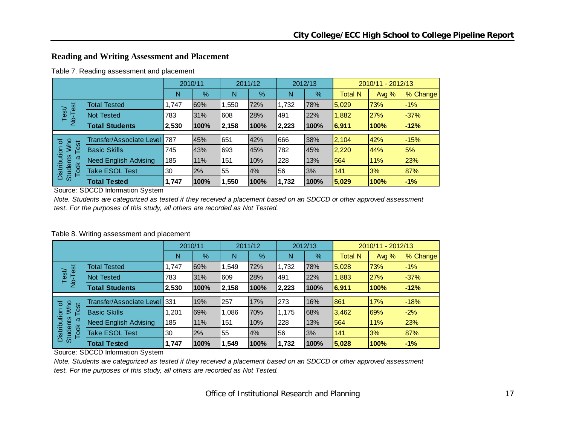## **Reading and Writing Assessment and Placement**

|                                         |                              | 2010/11 |      |       | 2011/12 |       | 2012/13 |                | 2010/11 - 2012/13 |          |  |
|-----------------------------------------|------------------------------|---------|------|-------|---------|-------|---------|----------------|-------------------|----------|--|
|                                         |                              | N       | $\%$ | N     | %       | N     | $\%$    | <b>Total N</b> | Avg %             | % Change |  |
| est                                     | <b>Total Tested</b>          | 1,747   | 69%  | 1,550 | 72%     | 1,732 | 78%     | 5,029          | 73%               | $-1%$    |  |
| Test<br>$\frac{1}{2}$                   | Not Tested                   | 783     | 31%  | 608   | 28%     | 491   | 22%     | 1,882          | 27%               | $-37%$   |  |
|                                         | <b>Total Students</b>        | 2,530   | 100% | 2,158 | 100%    | 2,223 | 100%    | 6,911          | 100%              | $-12%$   |  |
|                                         |                              |         |      |       |         |       |         |                |                   |          |  |
| ৳                                       | Transfer/Associate Level 787 |         | 45%  | 651   | 42%     | 666   | 38%     | 2,104          | 42%               | $-15%$   |  |
| <b>N/ho</b><br>Test                     | <b>Basic Skills</b>          | 745     | 43%  | 693   | 45%     | 782   | 45%     | 2,220          | 44%               | 5%       |  |
| ω                                       | <b>Need English Advising</b> | 185     | 11%  | 151   | 10%     | 228   | 13%     | 564            | 11%               | 23%      |  |
| Distribution<br><b>Students</b><br>Took | <b>Take ESOL Test</b>        | 30      | 2%   | 55    | 4%      | 56    | 3%      | 141            | 3%                | 87%      |  |
|                                         | <b>Total Tested</b>          | 1,747   | 100% | 1,550 | 100%    | 1,732 | 100%    | 5,029          | 100%              | $-1%$    |  |

Source: SDCCD Information System

*Note. Students are categorized as tested if they received a placement based on an SDCCD or other approved assessment test. For the purposes of this study, all others are recorded as Not Tested.*

#### Table 8. Writing assessment and placement

|                                              |                              | 2010/11 |      | 2011/12 |               | 2012/13 |      | 2010/11 - 2012/13 |            |          |
|----------------------------------------------|------------------------------|---------|------|---------|---------------|---------|------|-------------------|------------|----------|
|                                              |                              | N       | %    | N       | $\frac{9}{6}$ | N       | %    | <b>Total N</b>    | Avg $%$    | % Change |
| est                                          | <b>Total Tested</b>          | 1,747   | 69%  | 1,549   | 72%           | 1,732   | 78%  | 5,028             | 73%        | $-1%$    |
| Test<br>T-ok                                 | <b>Not Tested</b>            | 783     | 31%  | 609     | 28%           | 491     | 22%  | 1,883             | 27%        | $-37%$   |
|                                              | <b>Total Students</b>        | 2,530   | 100% | 2,158   | 100%          | 2,223   | 100% | 6,911             | 100%       | $-12%$   |
|                                              | Transfer/Associate Level     | 331     | 19%  | 257     | 17%           | 273     | 16%  | 861               | 17%        | $-18%$   |
| <b>Mho</b><br>$\sigma$                       |                              |         |      |         |               |         |      |                   |            |          |
| Test                                         | <b>Basic Skills</b>          | 1,201   | 69%  | 1,086   | 70%           | 1,175   | 68%  | 3,462             | <b>69%</b> | $-2%$    |
| Distribution<br><b>Students</b><br>ω<br>Took | <b>Need English Advising</b> | 185     | 11%  | 151     | 10%           | 228     | 13%  | 564               | 11%        | 23%      |
|                                              | <b>Take ESOL Test</b>        | 30      | 2%   | 55      | 4%            | 56      | 3%   | 141               | 3%         | 87%      |
|                                              | <b>Total Tested</b>          | 1,747   | 100% | 1,549   | 100%          | 1,732   | 100% | 5,028             | 100%       | $-1%$    |

Source: SDCCD Information System

*Note. Students are categorized as tested if they received a placement based on an SDCCD or other approved assessment test. For the purposes of this study, all others are recorded as Not Tested.*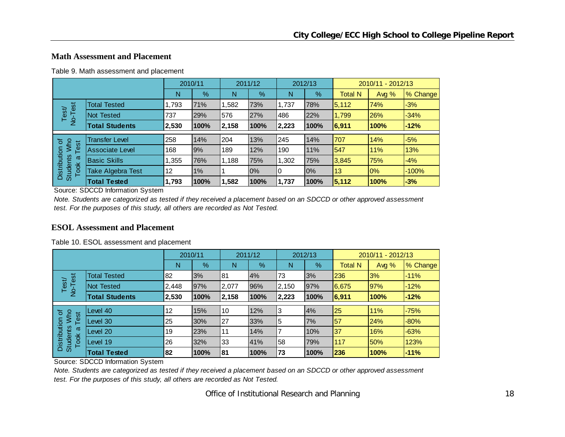#### **Math Assessment and Placement**

|                                              |                        | 2010/11 |       | 2011/12 |      | 2012/13 |      | 2010/11 - 2012/13 |       |          |
|----------------------------------------------|------------------------|---------|-------|---------|------|---------|------|-------------------|-------|----------|
|                                              |                        | N       | %     | N       | %    | N       | %    | <b>Total N</b>    | Avg % | % Change |
| est                                          | <b>Total Tested</b>    | 1,793   | 71%   | .582    | 73%  | 1,737   | 78%  | 5,112             | 74%   | $-3%$    |
| Test<br>T-ok                                 | Not Tested             | 737     | 29%   | 576     | 27%  | 486     | 22%  | 1,799             | 26%   | $-34%$   |
|                                              | <b>Total Students</b>  | 2,530   | 100%  | 2,158   | 100% | 2,223   | 100% | 6,911             | 100%  | $-12%$   |
|                                              | <b>Transfer Level</b>  | 258     | 14%   | 204     | 13%  | 245     | 14%  | 707               | 14%   | $-5%$    |
| ৳<br>Who                                     |                        |         |       |         |      |         |      |                   |       |          |
| Test                                         | <b>Associate Level</b> | 168     | 9%    | 189     | 12%  | 190     | 11%  | 547               | 11%   | 13%      |
| Distribution<br><b>Students</b><br>ω<br>Took | <b>Basic Skills</b>    | 1,355   | 76%   | 1,188   | 75%  | 1,302   | 75%  | 3,845             | 75%   | $-4%$    |
|                                              | Take Algebra Test      | 12      | $1\%$ |         | 0%   | 0       | 0%   | 13                | 0%    | $-100%$  |
|                                              | <b>Total Tested</b>    | 1,793   | 100%  | .582    | 100% | 1,737   | 100% | 5,112             | 100%  | $-3%$    |

Table 9. Math assessment and placement

Source: SDCCD Information System

*Note. Students are categorized as tested if they received a placement based on an SDCCD or other approved assessment test. For the purposes of this study, all others are recorded as Not Tested.*

#### **ESOL Assessment and Placement**

|  |  | Table 10. ESOL assessment and placement |  |
|--|--|-----------------------------------------|--|
|--|--|-----------------------------------------|--|

|                                              |                       | 2010/11 |      | 2011/12 |      | 2012/13        |      | 2010/11 - 2012/13 |       |          |
|----------------------------------------------|-----------------------|---------|------|---------|------|----------------|------|-------------------|-------|----------|
|                                              |                       | N       | %    | N       | $\%$ | N              | %    | <b>Total N</b>    | Avg % | % Change |
| est                                          | <b>Total Tested</b>   | 82      | 3%   | 81      | 4%   | 73             | 3%   | 236               | 3%    | $-11%$   |
| Test/<br>$\overline{P}$                      | <b>Not Tested</b>     | 2,448   | 97%  | 2,077   | 96%  | 2,150          | 97%  | 6,675             | 97%   | $-12%$   |
|                                              | <b>Total Students</b> | 2,530   | 100% | 2,158   | 100% | 2,223          | 100% | 6,911             | 100%  | $-12%$   |
|                                              |                       |         |      |         |      |                |      |                   |       |          |
| <b>Nyho</b><br>৳                             | Level 40              | 12      | 15%  | 10      | 12%  | 3              | 4%   | 25                | 11%   | $-75%$   |
| Test                                         | Level 30              | 25      | 30%  | 27      | 33%  | 5              | 7%   | 57                | 24%   | $-80%$   |
| Distribution<br><b>Students</b><br>ω<br>Took | Level 20              | 19      | 23%  | 11      | 14%  | $\overline{ }$ | 10%  | 37                | 16%   | $-63%$   |
|                                              | Level 19              | 26      | 32%  | 33      | 41%  | 58             | 79%  | 117               | 50%   | 123%     |
|                                              | <b>Total Tested</b>   | 82      | 100% | 81      | 100% | 73             | 100% | 236               | 100%  | $-11%$   |

Source: SDCCD Information System

*Note. Students are categorized as tested if they received a placement based on an SDCCD or other approved assessment test. For the purposes of this study, all others are recorded as Not Tested.*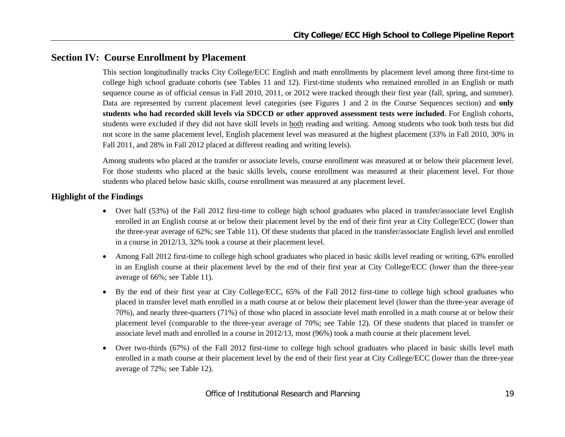## **Section IV: Course Enrollment by Placement**

This section longitudinally tracks City College/ECC English and math enrollments by placement level among three first-time to college high school graduate cohorts (see Tables 11 and 12). First-time students who remained enrolled in an English or math sequence course as of official census in Fall 2010, 2011, or 2012 were tracked through their first year (fall, spring, and summer). Data are represented by current placement level categories (see Figures 1 and 2 in the Course Sequences section) and **only students who had recorded skill levels via SDCCD or other approved assessment tests were included**. For English cohorts, students were excluded if they did not have skill levels in both reading and writing. Among students who took both tests but did not score in the same placement level, English placement level was measured at the highest placement (33% in Fall 2010, 30% in Fall 2011, and 28% in Fall 2012 placed at different reading and writing levels).

Among students who placed at the transfer or associate levels, course enrollment was measured at or below their placement level. For those students who placed at the basic skills levels, course enrollment was measured at their placement level. For those students who placed below basic skills, course enrollment was measured at any placement level.

#### **Highlight of the Findings**

- Over half (53%) of the Fall 2012 first-time to college high school graduates who placed in transfer/associate level English enrolled in an English course at or below their placement level by the end of their first year at City College/ECC (lower than the three-year average of 62%; see Table 11). Of these students that placed in the transfer/associate English level and enrolled in a course in 2012/13, 32% took a course at their placement level.
- $\bullet$  Among Fall 2012 first-time to college high school graduates who placed in basic skills level reading or writing, 63% enrolled in an English course at their placement level by the end of their first year at City College/ECC (lower than the three-year average of 66%; see Table 11).
- $\bullet$  By the end of their first year at City College/ECC, 65% of the Fall 2012 first-time to college high school graduates who placed in transfer level math enrolled in a math course at or below their placement level (lower than the three-year average of 70%), and nearly three-quarters (71%) of those who placed in associate level math enrolled in a math course at or below their placement level (comparable to the three-year average of 70%; see Table 12). Of these students that placed in transfer or associate level math and enrolled in a course in 2012/13, most (96%) took a math course at their placement level.
- $\bullet$  Over two-thirds (67%) of the Fall 2012 first-time to college high school graduates who placed in basic skills level math enrolled in a math course at their placement level by the end of their first year at City College/ECC (lower than the three-year average of 72%; see Table 12).